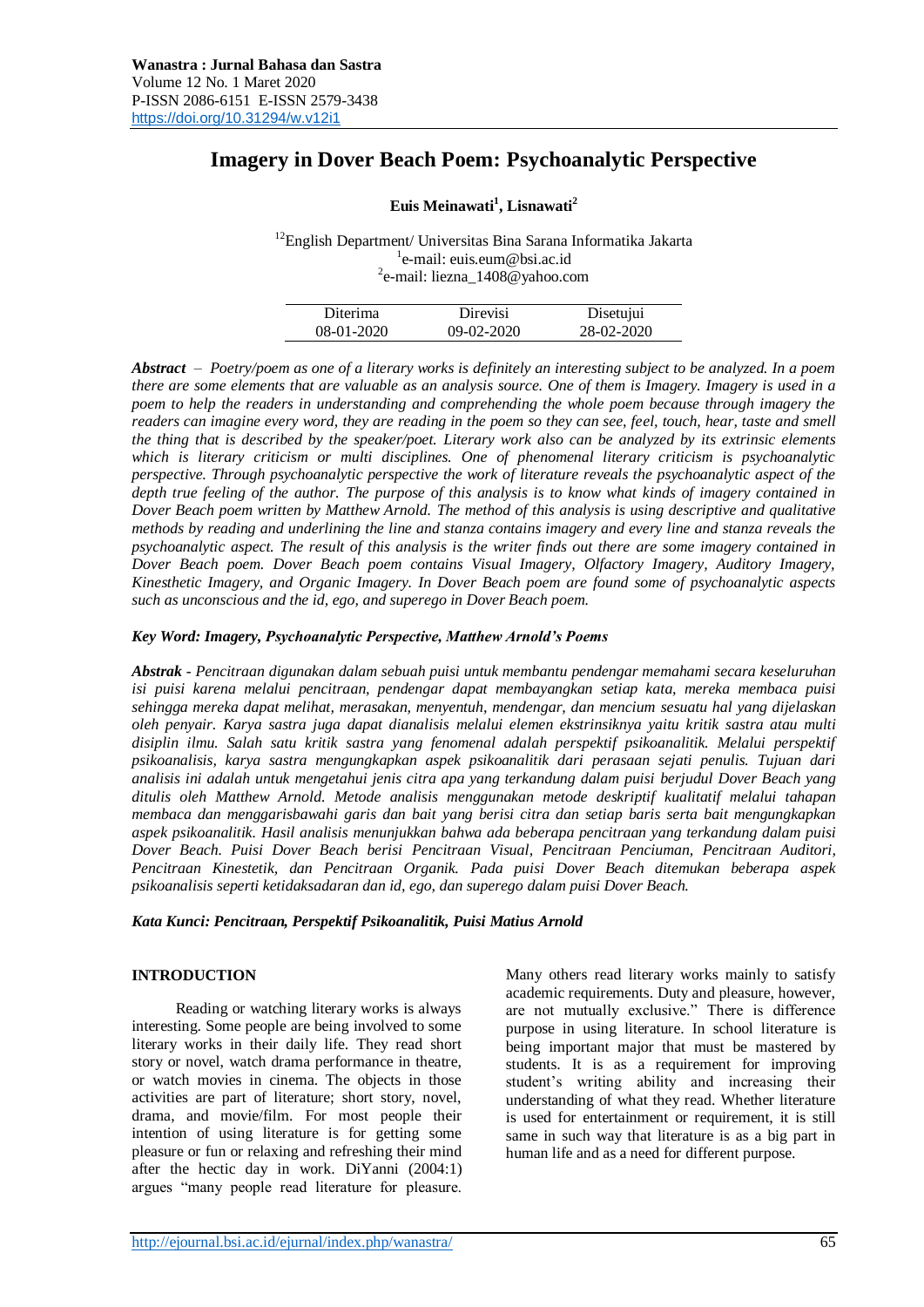# **Imagery in Dover Beach Poem: Psychoanalytic Perspective**

## **Euis Meinawati<sup>1</sup> , Lisnawati<sup>2</sup>**

<sup>12</sup>English Department/ Universitas Bina Sarana Informatika Jakarta <sup>1</sup>e-mail: [euis.eum@bsi.ac.id](mailto:euis.eum@bsi.ac.id) <sup>2</sup>e-mail: [liezna\\_1408@yahoo.com](mailto:liezna_1408@yahoo.com)

| Diterima     | Direvisi     | Disetujui  |  |
|--------------|--------------|------------|--|
| $08-01-2020$ | $09-02-2020$ | 28-02-2020 |  |

*Abstract – Poetry/poem as one of a literary works is definitely an interesting subject to be analyzed. In a poem there are some elements that are valuable as an analysis source. One of them is Imagery. Imagery is used in a poem to help the readers in understanding and comprehending the whole poem because through imagery the readers can imagine every word, they are reading in the poem so they can see, feel, touch, hear, taste and smell the thing that is described by the speaker/poet. Literary work also can be analyzed by its extrinsic elements which is literary criticism or multi disciplines. One of phenomenal literary criticism is psychoanalytic perspective. Through psychoanalytic perspective the work of literature reveals the psychoanalytic aspect of the depth true feeling of the author. The purpose of this analysis is to know what kinds of imagery contained in Dover Beach poem written by Matthew Arnold. The method of this analysis is using descriptive and qualitative methods by reading and underlining the line and stanza contains imagery and every line and stanza reveals the psychoanalytic aspect. The result of this analysis is the writer finds out there are some imagery contained in Dover Beach poem. Dover Beach poem contains Visual Imagery, Olfactory Imagery, Auditory Imagery, Kinesthetic Imagery, and Organic Imagery. In Dover Beach poem are found some of psychoanalytic aspects such as unconscious and the id, ego, and superego in Dover Beach poem.*

#### *Key Word: Imagery, Psychoanalytic Perspective, Matthew Arnold's Poems*

*Abstrak - Pencitraan digunakan dalam sebuah puisi untuk membantu pendengar memahami secara keseluruhan isi puisi karena melalui pencitraan, pendengar dapat membayangkan setiap kata, mereka membaca puisi sehingga mereka dapat melihat, merasakan, menyentuh, mendengar, dan mencium sesuatu hal yang dijelaskan oleh penyair. Karya sastra juga dapat dianalisis melalui elemen ekstrinsiknya yaitu kritik sastra atau multi disiplin ilmu. Salah satu kritik sastra yang fenomenal adalah perspektif psikoanalitik. Melalui perspektif psikoanalisis, karya sastra mengungkapkan aspek psikoanalitik dari perasaan sejati penulis. Tujuan dari analisis ini adalah untuk mengetahui jenis citra apa yang terkandung dalam puisi berjudul Dover Beach yang ditulis oleh Matthew Arnold. Metode analisis menggunakan metode deskriptif kualitatif melalui tahapan membaca dan menggarisbawahi garis dan bait yang berisi citra dan setiap baris serta bait mengungkapkan aspek psikoanalitik. Hasil analisis menunjukkan bahwa ada beberapa pencitraan yang terkandung dalam puisi Dover Beach. Puisi Dover Beach berisi Pencitraan Visual, Pencitraan Penciuman, Pencitraan Auditori, Pencitraan Kinestetik, dan Pencitraan Organik. Pada puisi Dover Beach ditemukan beberapa aspek psikoanalisis seperti ketidaksadaran dan id, ego, dan superego dalam puisi Dover Beach.*

*Kata Kunci: Pencitraan, Perspektif Psikoanalitik, Puisi Matius Arnold*

#### **INTRODUCTION**

Reading or watching literary works is always interesting. Some people are being involved to some literary works in their daily life. They read short story or novel, watch drama performance in theatre, or watch movies in cinema. The objects in those activities are part of literature; short story, novel, drama, and movie/film. For most people their intention of using literature is for getting some pleasure or fun or relaxing and refreshing their mind after the hectic day in work. DiYanni (2004:1) argues "many people read literature for pleasure.

Many others read literary works mainly to satisfy academic requirements. Duty and pleasure, however, are not mutually exclusive." There is difference purpose in using literature. In school literature is being important major that must be mastered by students. It is as a requirement for improving student's writing ability and increasing their understanding of what they read. Whether literature is used for entertainment or requirement, it is still same in such way that literature is as a big part in human life and as a need for different purpose.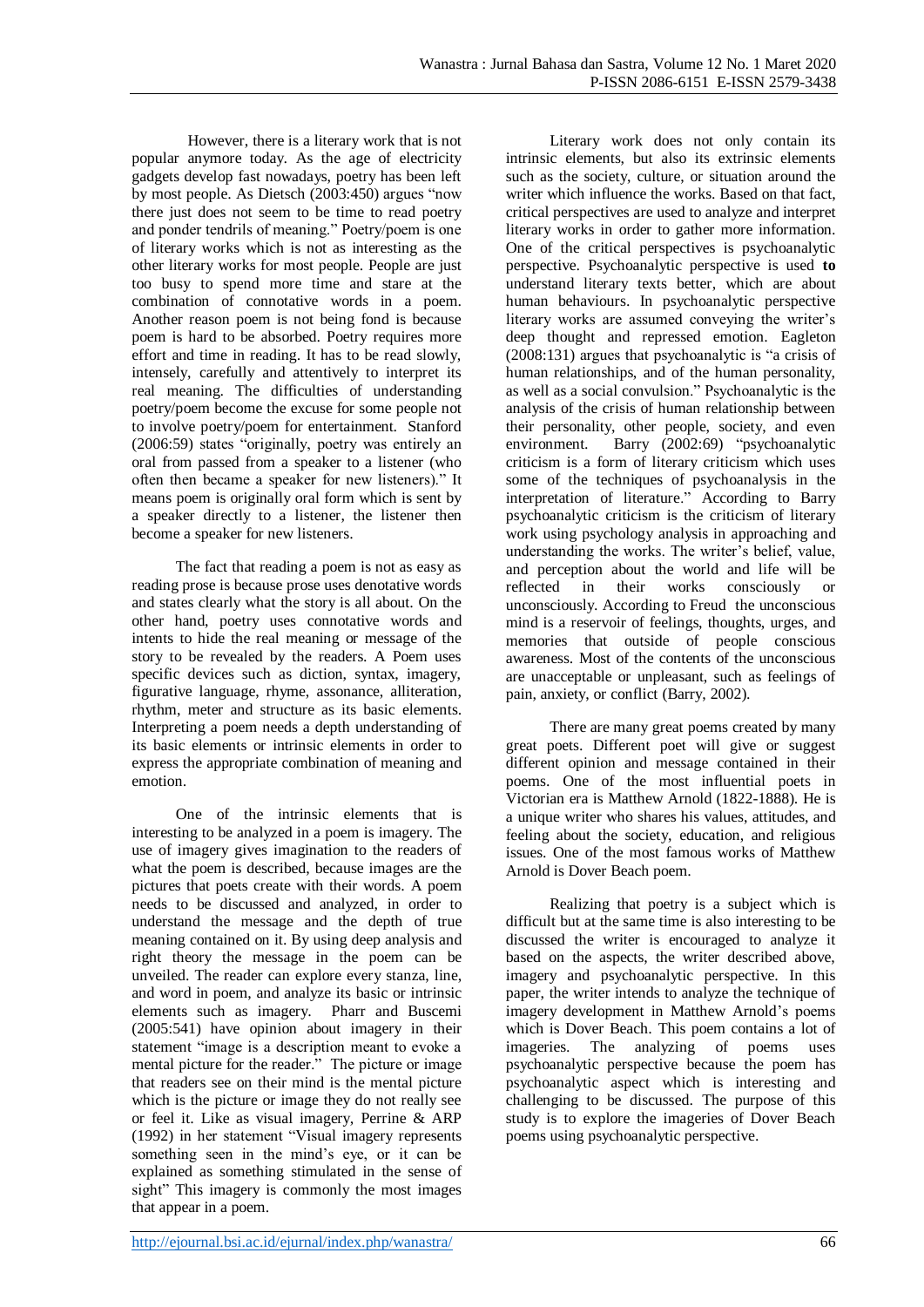However, there is a literary work that is not popular anymore today. As the age of electricity gadgets develop fast nowadays, poetry has been left by most people. As Dietsch (2003:450) argues "now there just does not seem to be time to read poetry and ponder tendrils of meaning." Poetry/poem is one of literary works which is not as interesting as the other literary works for most people. People are just too busy to spend more time and stare at the combination of connotative words in a poem. Another reason poem is not being fond is because poem is hard to be absorbed. Poetry requires more effort and time in reading. It has to be read slowly, intensely, carefully and attentively to interpret its real meaning. The difficulties of understanding poetry/poem become the excuse for some people not to involve poetry/poem for entertainment. Stanford (2006:59) states "originally, poetry was entirely an oral from passed from a speaker to a listener (who often then became a speaker for new listeners)." It means poem is originally oral form which is sent by a speaker directly to a listener, the listener then become a speaker for new listeners.

The fact that reading a poem is not as easy as reading prose is because prose uses denotative words and states clearly what the story is all about. On the other hand, poetry uses connotative words and intents to hide the real meaning or message of the story to be revealed by the readers. A Poem uses specific devices such as diction, syntax, imagery, figurative language, rhyme, assonance, alliteration, rhythm, meter and structure as its basic elements. Interpreting a poem needs a depth understanding of its basic elements or intrinsic elements in order to express the appropriate combination of meaning and emotion.

One of the intrinsic elements that is interesting to be analyzed in a poem is imagery. The use of imagery gives imagination to the readers of what the poem is described, because images are the pictures that poets create with their words. A poem needs to be discussed and analyzed, in order to understand the message and the depth of true meaning contained on it. By using deep analysis and right theory the message in the poem can be unveiled. The reader can explore every stanza, line, and word in poem, and analyze its basic or intrinsic elements such as imagery. Pharr and Buscemi (2005:541) have opinion about imagery in their statement "image is a description meant to evoke a mental picture for the reader." The picture or image that readers see on their mind is the mental picture which is the picture or image they do not really see or feel it. Like as visual imagery, Perrine & ARP (1992) in her statement "Visual imagery represents something seen in the mind's eye, or it can be explained as something stimulated in the sense of sight" This imagery is commonly the most images that appear in a poem.

Literary work does not only contain its intrinsic elements, but also its extrinsic elements such as the society, culture, or situation around the writer which influence the works. Based on that fact, critical perspectives are used to analyze and interpret literary works in order to gather more information. One of the critical perspectives is psychoanalytic perspective. Psychoanalytic perspective is used **to**  understand literary texts better, which are about human behaviours. In psychoanalytic perspective literary works are assumed conveying the writer's deep thought and repressed emotion. Eagleton (2008:131) argues that psychoanalytic is "a crisis of human relationships, and of the human personality, as well as a social convulsion." Psychoanalytic is the analysis of the crisis of human relationship between their personality, other people, society, and even environment. Barry (2002:69) "psychoanalytic criticism is a form of literary criticism which uses some of the techniques of psychoanalysis in the interpretation of literature." According to Barry psychoanalytic criticism is the criticism of literary work using psychology analysis in approaching and understanding the works. The writer's belief, value, and perception about the world and life will be reflected in their works consciously or unconsciously. According to Freud [the unconscious](http://psychology.about.com/od/uindex/g/def_unconscious.htm)  [mind](http://psychology.about.com/od/uindex/g/def_unconscious.htm) is a reservoir of feelings, thoughts, urges, and memories that outside of people conscious awareness. Most of the contents of the unconscious are unacceptable or unpleasant, such as feelings of pain, anxiety, or conflict (Barry, 2002).

There are many great poems created by many great poets. Different poet will give or suggest different opinion and message contained in their poems. One of the most influential poets in Victorian era is Matthew Arnold (1822-1888). He is a unique writer who shares his values, attitudes, and feeling about the society, education, and religious issues. One of the most famous works of Matthew Arnold is Dover Beach poem.

Realizing that poetry is a subject which is difficult but at the same time is also interesting to be discussed the writer is encouraged to analyze it based on the aspects, the writer described above, imagery and psychoanalytic perspective. In this paper, the writer intends to analyze the technique of imagery development in Matthew Arnold's poems which is Dover Beach. This poem contains a lot of imageries. The analyzing of poems uses psychoanalytic perspective because the poem has psychoanalytic aspect which is interesting and challenging to be discussed. The purpose of this study is to explore the imageries of Dover Beach poems using psychoanalytic perspective.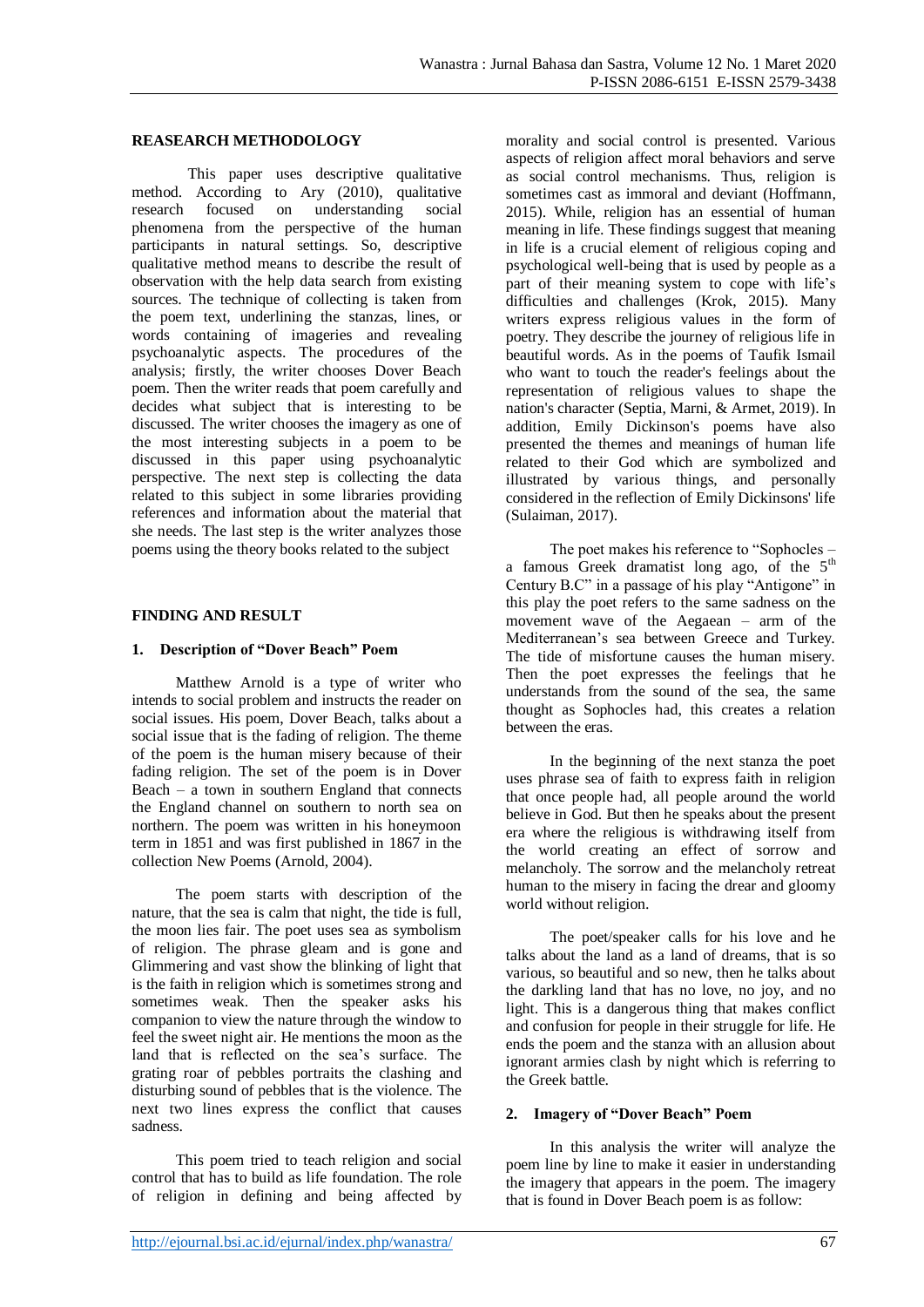#### **REASEARCH METHODOLOGY**

This paper uses descriptive qualitative method. According to Ary (2010), qualitative research focused on understanding social phenomena from the perspective of the human participants in natural settings. So, descriptive qualitative method means to describe the result of observation with the help data search from existing sources. The technique of collecting is taken from the poem text, underlining the stanzas, lines, or words containing of imageries and revealing psychoanalytic aspects. The procedures of the analysis; firstly, the writer chooses Dover Beach poem. Then the writer reads that poem carefully and decides what subject that is interesting to be discussed. The writer chooses the imagery as one of the most interesting subjects in a poem to be discussed in this paper using psychoanalytic perspective. The next step is collecting the data related to this subject in some libraries providing references and information about the material that she needs. The last step is the writer analyzes those poems using the theory books related to the subject

#### **FINDING AND RESULT**

#### **1. Description of "Dover Beach" Poem**

Matthew Arnold is a type of writer who intends to social problem and instructs the reader on social issues. His poem, Dover Beach, talks about a social issue that is the fading of religion. The theme of the poem is the human misery because of their fading religion. The set of the poem is in Dover Beach – a town in southern England that connects the England channel on southern to north sea on northern. The poem was written in his honeymoon term in 1851 and was first published in 1867 in the collection New Poems (Arnold, 2004).

The poem starts with description of the nature, that the sea is calm that night, the tide is full, the moon lies fair. The poet uses sea as symbolism of religion. The phrase gleam and is gone and Glimmering and vast show the blinking of light that is the faith in religion which is sometimes strong and sometimes weak. Then the speaker asks his companion to view the nature through the window to feel the sweet night air. He mentions the moon as the land that is reflected on the sea's surface. The grating roar of pebbles portraits the clashing and disturbing sound of pebbles that is the violence. The next two lines express the conflict that causes sadness.

This poem tried to teach religion and social control that has to build as life foundation. The role of religion in defining and being affected by

morality and social control is presented. Various aspects of religion affect moral behaviors and serve as social control mechanisms. Thus, religion is sometimes cast as immoral and deviant (Hoffmann, 2015). While, religion has an essential of human meaning in life. These findings suggest that meaning in life is a crucial element of religious coping and psychological well-being that is used by people as a part of their meaning system to cope with life's difficulties and challenges (Krok, 2015). Many writers express religious values in the form of poetry. They describe the journey of religious life in beautiful words. As in the poems of Taufik Ismail who want to touch the reader's feelings about the representation of religious values to shape the nation's character (Septia, Marni, & Armet, 2019). In addition, Emily Dickinson's poems have also presented the themes and meanings of human life related to their God which are symbolized and illustrated by various things, and personally considered in the reflection of Emily Dickinsons' life (Sulaiman, 2017).

The poet makes his reference to "Sophocles – a famous Greek dramatist long ago, of the 5<sup>th</sup> Century B.C" in a passage of his play "Antigone" in this play the poet refers to the same sadness on the movement wave of the Aegaean – arm of the Mediterranean's sea between Greece and Turkey. The tide of misfortune causes the human misery. Then the poet expresses the feelings that he understands from the sound of the sea, the same thought as Sophocles had, this creates a relation between the eras.

In the beginning of the next stanza the poet uses phrase sea of faith to express faith in religion that once people had, all people around the world believe in God. But then he speaks about the present era where the religious is withdrawing itself from the world creating an effect of sorrow and melancholy. The sorrow and the melancholy retreat human to the misery in facing the drear and gloomy world without religion.

The poet/speaker calls for his love and he talks about the land as a land of dreams, that is so various, so beautiful and so new, then he talks about the darkling land that has no love, no joy, and no light. This is a dangerous thing that makes conflict and confusion for people in their struggle for life. He ends the poem and the stanza with an allusion about ignorant armies clash by night which is referring to the Greek battle.

#### **2. Imagery of "Dover Beach" Poem**

In this analysis the writer will analyze the poem line by line to make it easier in understanding the imagery that appears in the poem. The imagery that is found in Dover Beach poem is as follow: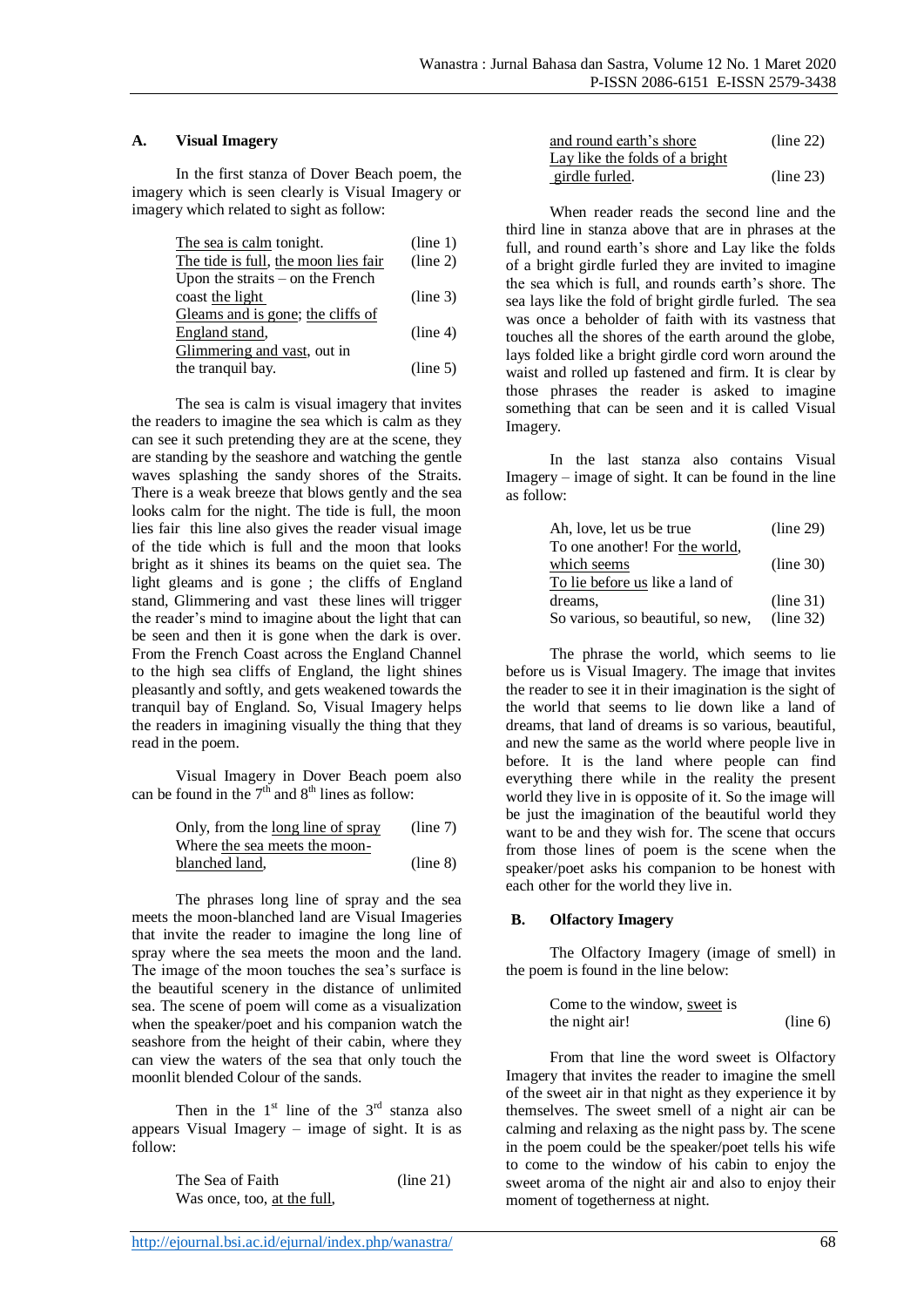#### **A. Visual Imagery**

In the first stanza of Dover Beach poem, the imagery which is seen clearly is Visual Imagery or imagery which related to sight as follow:

| The sea is calm tonight.             | (line 1) |
|--------------------------------------|----------|
| The tide is full, the moon lies fair | (line 2) |
| Upon the straits $-$ on the French   |          |
| coast the light                      | (line 3) |
| Gleams and is gone; the cliffs of    |          |
| England stand,                       | (line 4) |
| Glimmering and vast, out in          |          |
| the tranquil bay.                    | (line 5) |

The sea is calm is visual imagery that invites the readers to imagine the sea which is calm as they can see it such pretending they are at the scene, they are standing by the seashore and watching the gentle waves splashing the sandy shores of the Straits. There is a weak breeze that blows gently and the sea looks calm for the night. The tide is full, the moon lies fair this line also gives the reader visual image of the tide which is full and the moon that looks bright as it shines its beams on the quiet sea. The light gleams and is gone ; the cliffs of England stand, Glimmering and vast these lines will trigger the reader's mind to imagine about the light that can be seen and then it is gone when the dark is over. From the French Coast across the England Channel to the high sea cliffs of England, the light shines pleasantly and softly, and gets weakened towards the tranquil bay of England. So, Visual Imagery helps the readers in imagining visually the thing that they read in the poem.

Visual Imagery in Dover Beach poem also can be found in the  $7<sup>th</sup>$  and  $8<sup>th</sup>$  lines as follow:

Only, from the long line of spray (line 7) Where the sea meets the moonblanched land, (line 8)

The phrases long line of spray and the sea meets the moon-blanched land are Visual Imageries that invite the reader to imagine the long line of spray where the sea meets the moon and the land. The image of the moon touches the sea's surface is the beautiful scenery in the distance of unlimited sea. The scene of poem will come as a visualization when the speaker/poet and his companion watch the seashore from the height of their cabin, where they can view the waters of the sea that only touch the moonlit blended Colour of the sands.

Then in the  $1<sup>st</sup>$  line of the  $3<sup>rd</sup>$  stanza also appears Visual Imagery – image of sight. It is as follow:

| The Sea of Faith            | (line 21) |
|-----------------------------|-----------|
| Was once, too, at the full, |           |

| and round earth's shore        | (line 22) |
|--------------------------------|-----------|
| Lay like the folds of a bright |           |
| girdle furled.                 | (line 23) |

When reader reads the second line and the third line in stanza above that are in phrases at the full, and round earth's shore and Lay like the folds of a bright girdle furled they are invited to imagine the sea which is full, and rounds earth's shore. The sea lays like the fold of bright girdle furled. The sea was once a beholder of faith with its vastness that touches all the shores of the earth around the globe, lays folded like a bright girdle cord worn around the waist and rolled up fastened and firm. It is clear by those phrases the reader is asked to imagine something that can be seen and it is called Visual Imagery.

In the last stanza also contains Visual Imagery – image of sight. It can be found in the line as follow:

| Ah, love, let us be true          | (line 29) |
|-----------------------------------|-----------|
| To one another! For the world,    |           |
| which seems                       | (line 30) |
| To lie before us like a land of   |           |
| dreams,                           | (line 31) |
| So various, so beautiful, so new, | (line 32) |

The phrase the world, which seems to lie before us is Visual Imagery. The image that invites the reader to see it in their imagination is the sight of the world that seems to lie down like a land of dreams, that land of dreams is so various, beautiful, and new the same as the world where people live in before. It is the land where people can find everything there while in the reality the present world they live in is opposite of it. So the image will be just the imagination of the beautiful world they want to be and they wish for. The scene that occurs from those lines of poem is the scene when the speaker/poet asks his companion to be honest with each other for the world they live in.

## **B. Olfactory Imagery**

The Olfactory Imagery (image of smell) in the poem is found in the line below:

Come to the window, sweet is the night air! (line 6)

From that line the word sweet is Olfactory Imagery that invites the reader to imagine the smell of the sweet air in that night as they experience it by themselves. The sweet smell of a night air can be calming and relaxing as the night pass by. The scene in the poem could be the speaker/poet tells his wife to come to the window of his cabin to enjoy the sweet aroma of the night air and also to enjoy their moment of togetherness at night.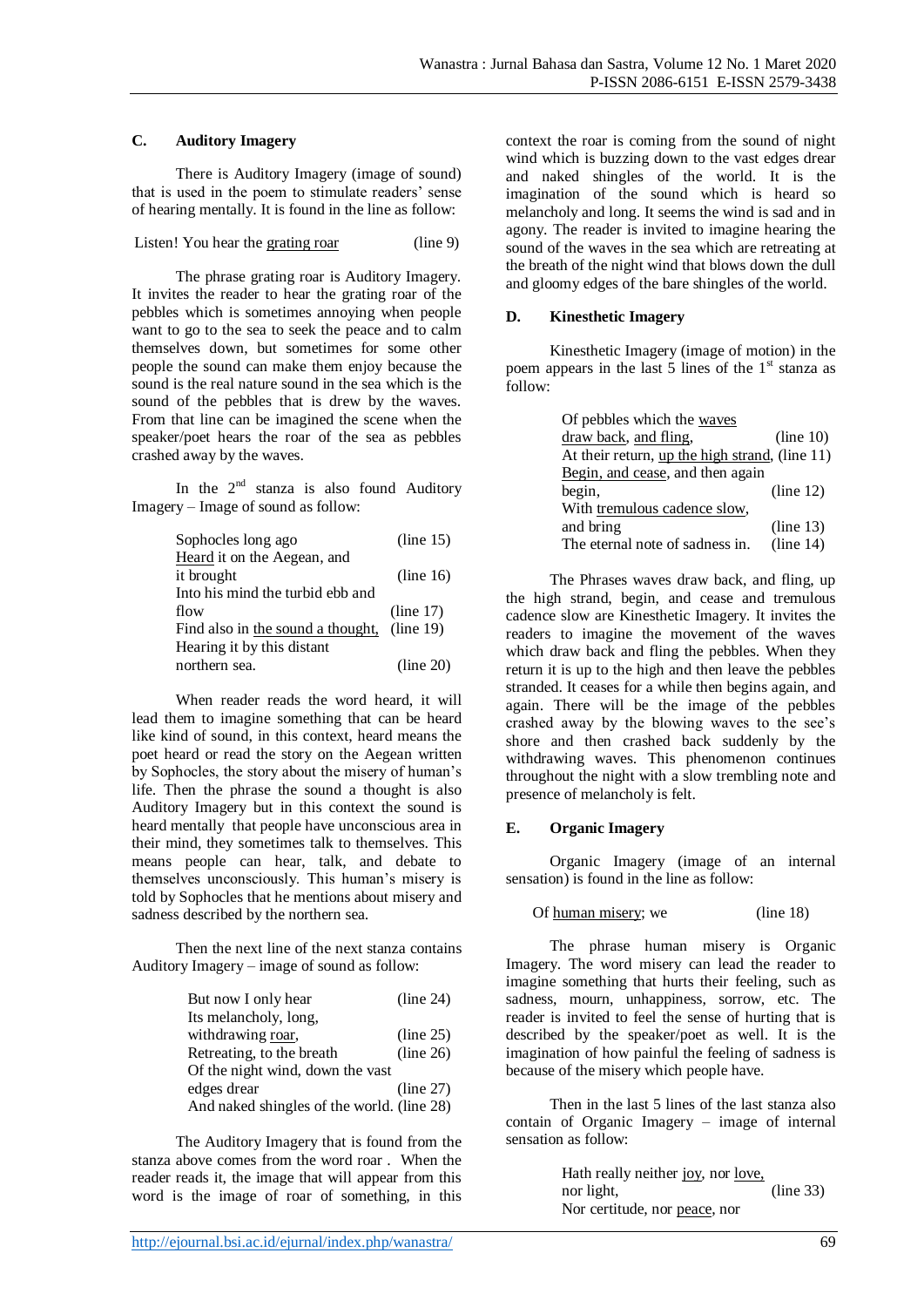## **C. Auditory Imagery**

There is Auditory Imagery (image of sound) that is used in the poem to stimulate readers' sense of hearing mentally. It is found in the line as follow:

Listen! You hear the grating roar (line 9)

The phrase grating roar is Auditory Imagery. It invites the reader to hear the grating roar of the pebbles which is sometimes annoying when people want to go to the sea to seek the peace and to calm themselves down, but sometimes for some other people the sound can make them enjoy because the sound is the real nature sound in the sea which is the sound of the pebbles that is drew by the waves. From that line can be imagined the scene when the speaker/poet hears the roar of the sea as pebbles crashed away by the waves.

In the  $2^{nd}$  stanza is also found Auditory Imagery – Image of sound as follow:

| Sophocles long ago                | (line 15) |
|-----------------------------------|-----------|
| Heard it on the Aegean, and       |           |
| it brought                        | (line 16) |
| Into his mind the turbid ebb and  |           |
| flow                              | (line 17) |
| Find also in the sound a thought, | (line 19) |
| Hearing it by this distant        |           |
| northern sea.                     | (line 20) |

When reader reads the word heard, it will lead them to imagine something that can be heard like kind of sound, in this context, heard means the poet heard or read the story on the Aegean written by Sophocles, the story about the misery of human's life. Then the phrase the sound a thought is also Auditory Imagery but in this context the sound is heard mentally that people have unconscious area in their mind, they sometimes talk to themselves. This means people can hear, talk, and debate to themselves unconsciously. This human's misery is told by Sophocles that he mentions about misery and sadness described by the northern sea.

Then the next line of the next stanza contains Auditory Imagery – image of sound as follow:

| But now I only hear                        | (line 24) |
|--------------------------------------------|-----------|
| Its melancholy, long,                      |           |
| withdrawing roar,                          | (line 25) |
| Retreating, to the breath                  | (line 26) |
| Of the night wind, down the vast           |           |
| edges drear                                | (line 27) |
| And naked shingles of the world. (line 28) |           |

The Auditory Imagery that is found from the stanza above comes from the word roar . When the reader reads it, the image that will appear from this word is the image of roar of something, in this context the roar is coming from the sound of night wind which is buzzing down to the vast edges drear and naked shingles of the world. It is the imagination of the sound which is heard so melancholy and long. It seems the wind is sad and in agony. The reader is invited to imagine hearing the sound of the waves in the sea which are retreating at the breath of the night wind that blows down the dull and gloomy edges of the bare shingles of the world.

## **D. Kinesthetic Imagery**

Kinesthetic Imagery (image of motion) in the poem appears in the last 5 lines of the  $1<sup>st</sup>$  stanza as follow:

| Of pebbles which the waves                     |           |
|------------------------------------------------|-----------|
| draw back, and fling,                          | (line 10) |
| At their return, up the high strand, (line 11) |           |
| Begin, and cease, and then again               |           |
| begin,                                         | (line 12) |
| With tremulous cadence slow,                   |           |
| and bring                                      | (line 13) |
| The eternal note of sadness in.                | (line 14) |

The Phrases waves draw back, and fling, up the high strand, begin, and cease and tremulous cadence slow are Kinesthetic Imagery. It invites the readers to imagine the movement of the waves which draw back and fling the pebbles. When they return it is up to the high and then leave the pebbles stranded. It ceases for a while then begins again, and again. There will be the image of the pebbles crashed away by the blowing waves to the see's shore and then crashed back suddenly by the withdrawing waves. This phenomenon continues throughout the night with a slow trembling note and presence of melancholy is felt.

## **E. Organic Imagery**

Organic Imagery (image of an internal sensation) is found in the line as follow:

Of human misery; we (line 18)

The phrase human misery is Organic Imagery. The word misery can lead the reader to imagine something that hurts their feeling, such as sadness, mourn, unhappiness, sorrow, etc. The reader is invited to feel the sense of hurting that is described by the speaker/poet as well. It is the imagination of how painful the feeling of sadness is because of the misery which people have.

Then in the last 5 lines of the last stanza also contain of Organic Imagery – image of internal sensation as follow:

> Hath really neither joy, nor love, nor light, (line 33) Nor certitude, nor peace, nor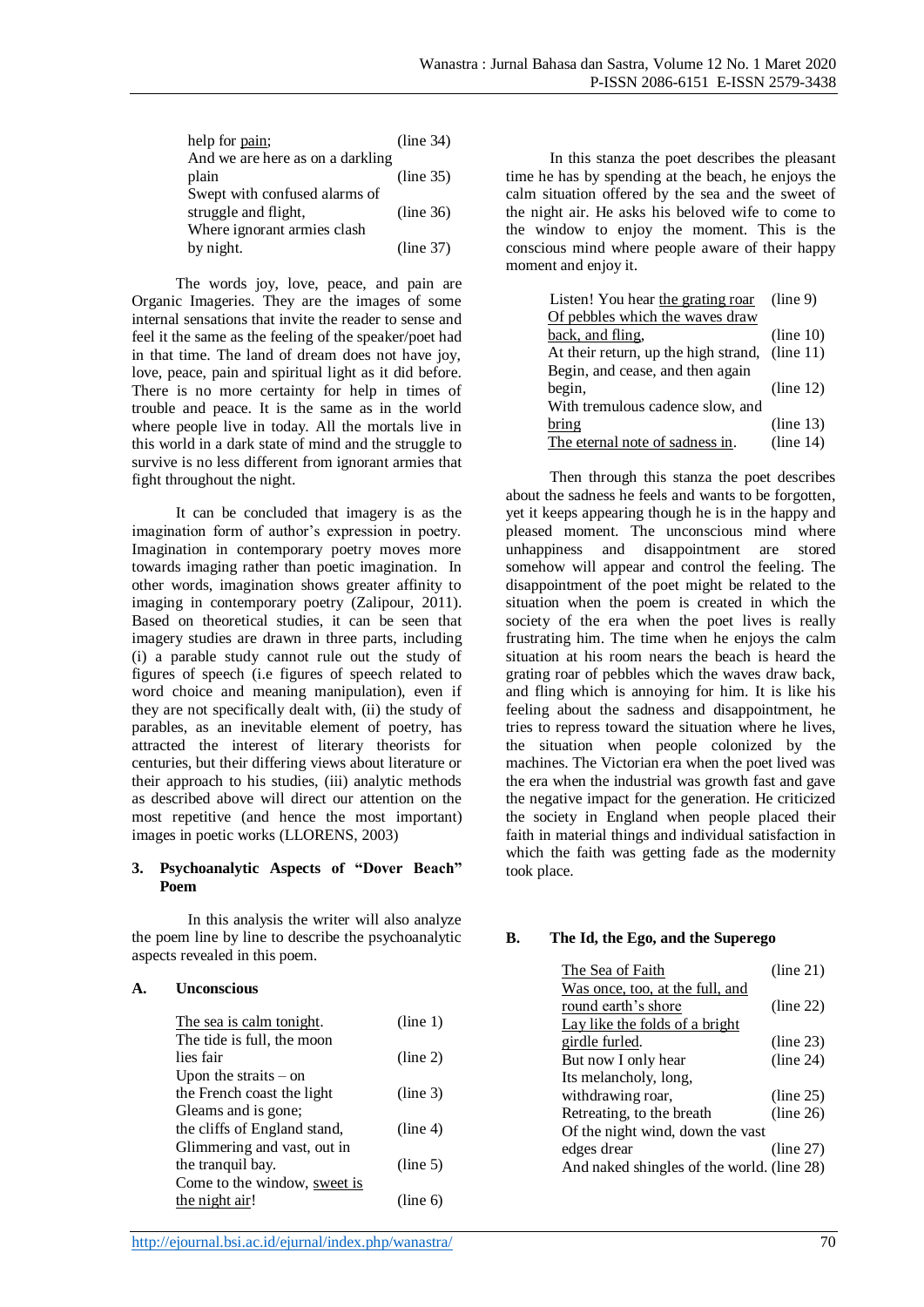| help for pain;                   | (line 34) |
|----------------------------------|-----------|
| And we are here as on a darkling |           |
| plain                            | (line 35) |
| Swept with confused alarms of    |           |
| struggle and flight,             | (line 36) |
| Where ignorant armies clash      |           |
| by night.                        | (line 37) |

The words joy, love, peace, and pain are Organic Imageries. They are the images of some internal sensations that invite the reader to sense and feel it the same as the feeling of the speaker/poet had in that time. The land of dream does not have joy, love, peace, pain and spiritual light as it did before. There is no more certainty for help in times of trouble and peace. It is the same as in the world where people live in today. All the mortals live in this world in a dark state of mind and the struggle to survive is no less different from ignorant armies that fight throughout the night.

It can be concluded that imagery is as the imagination form of author's expression in poetry. Imagination in contemporary poetry moves more towards imaging rather than poetic imagination. In other words, imagination shows greater affinity to imaging in contemporary poetry (Zalipour, 2011). Based on theoretical studies, it can be seen that imagery studies are drawn in three parts, including (i) a parable study cannot rule out the study of figures of speech (i.e figures of speech related to word choice and meaning manipulation), even if they are not specifically dealt with, (ii) the study of parables, as an inevitable element of poetry, has attracted the interest of literary theorists for centuries, but their differing views about literature or their approach to his studies, (iii) analytic methods as described above will direct our attention on the most repetitive (and hence the most important) images in poetic works (LLORENS, 2003)

## **3. Psychoanalytic Aspects of "Dover Beach" Poem**

In this analysis the writer will also analyze the poem line by line to describe the psychoanalytic aspects revealed in this poem.

## **A. Unconscious**

| The sea is calm tonight.     | (line 1) |
|------------------------------|----------|
| The tide is full, the moon   |          |
| lies fair                    | (line 2) |
| Upon the straits $-$ on      |          |
| the French coast the light   | (line 3) |
| Gleams and is gone;          |          |
| the cliffs of England stand, | (line 4) |
| Glimmering and vast, out in  |          |
| the tranquil bay.            | (line 5) |
| Come to the window, sweet is |          |
| the night air!               | (line 6) |

In this stanza the poet describes the pleasant time he has by spending at the beach, he enjoys the calm situation offered by the sea and the sweet of the night air. He asks his beloved wife to come to the window to enjoy the moment. This is the conscious mind where people aware of their happy moment and enjoy it.

| Listen! You hear the grating roar              | (line 9)  |
|------------------------------------------------|-----------|
| Of pebbles which the waves draw                |           |
| back, and fling,                               | (line 10) |
| At their return, up the high strand, (line 11) |           |
| Begin, and cease, and then again               |           |
| begin,                                         | (line 12) |
| With tremulous cadence slow, and               |           |
| bring                                          | (line 13) |
| The eternal note of sadness in.                | (line 14) |

Then through this stanza the poet describes about the sadness he feels and wants to be forgotten, yet it keeps appearing though he is in the happy and pleased moment. The unconscious mind where unhappiness and disappointment are stored somehow will appear and control the feeling. The disappointment of the poet might be related to the situation when the poem is created in which the society of the era when the poet lives is really frustrating him. The time when he enjoys the calm situation at his room nears the beach is heard the grating roar of pebbles which the waves draw back, and fling which is annoying for him. It is like his feeling about the sadness and disappointment, he tries to repress toward the situation where he lives, the situation when people colonized by the machines. The Victorian era when the poet lived was the era when the industrial was growth fast and gave the negative impact for the generation. He criticized the society in England when people placed their faith in material things and individual satisfaction in which the faith was getting fade as the modernity took place.

## **B. The Id, the Ego, and the Superego**

| The Sea of Faith                           | (line 21) |
|--------------------------------------------|-----------|
| Was once, too, at the full, and            |           |
| round earth's shore                        | (line 22) |
| Lay like the folds of a bright             |           |
| girdle furled.                             | (line 23) |
| But now I only hear                        | (line 24) |
| Its melancholy, long,                      |           |
| withdrawing roar,                          | (line 25) |
| Retreating, to the breath                  | (line 26) |
| Of the night wind, down the vast           |           |
| edges drear                                | (line 27) |
| And naked shingles of the world. (line 28) |           |
|                                            |           |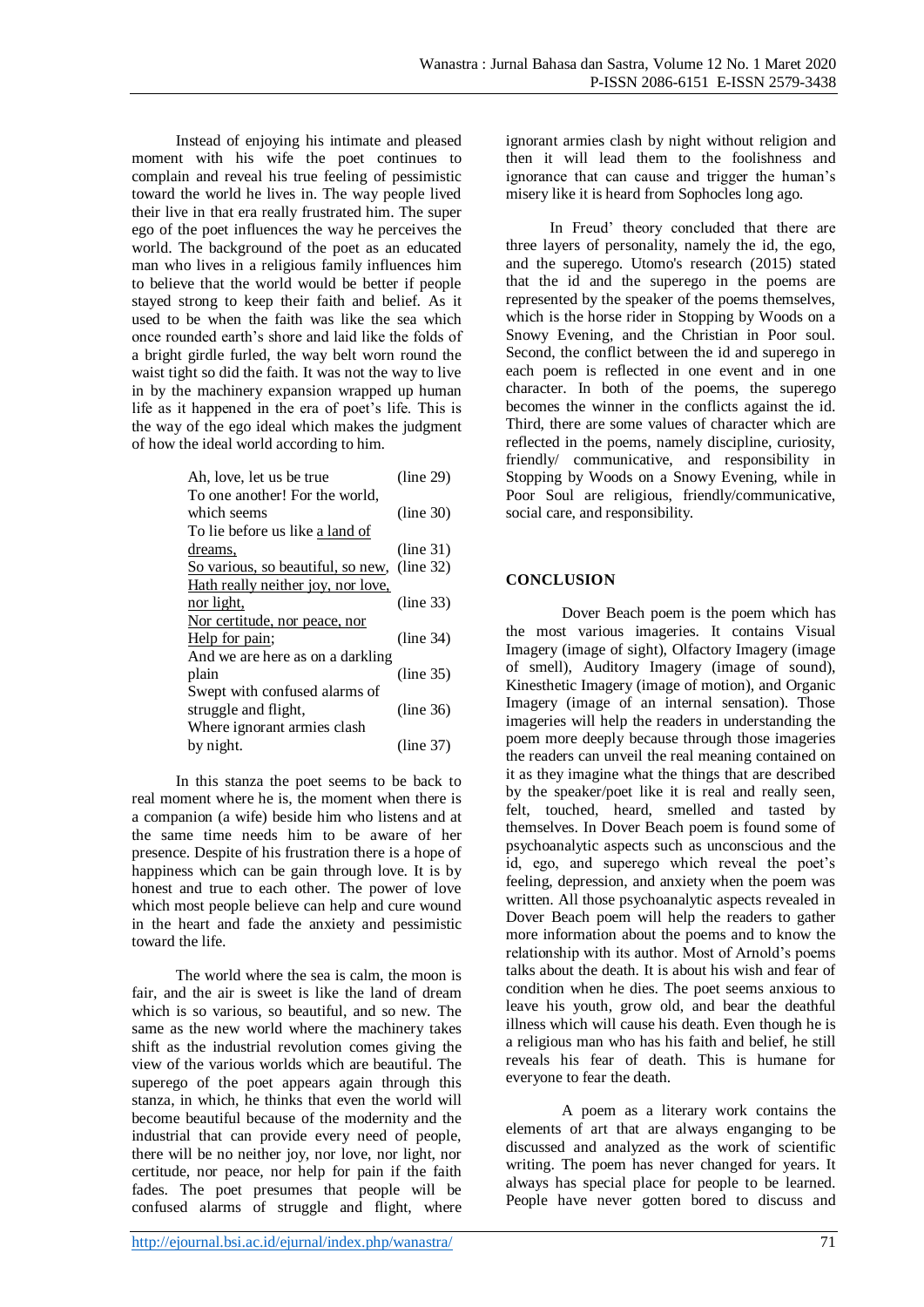Instead of enjoying his intimate and pleased moment with his wife the poet continues to complain and reveal his true feeling of pessimistic toward the world he lives in. The way people lived their live in that era really frustrated him. The super ego of the poet influences the way he perceives the world. The background of the poet as an educated man who lives in a religious family influences him to believe that the world would be better if people stayed strong to keep their faith and belief. As it used to be when the faith was like the sea which once rounded earth's shore and laid like the folds of a bright girdle furled, the way belt worn round the waist tight so did the faith. It was not the way to live in by the machinery expansion wrapped up human life as it happened in the era of poet's life. This is the way of the ego ideal which makes the judgment of how the ideal world according to him.

| Ah, love, let us be true           | (line 29) |
|------------------------------------|-----------|
| To one another! For the world,     |           |
| which seems                        | (line 30) |
| To lie before us like a land of    |           |
| dreams,                            | (line 31) |
| So various, so beautiful, so new,  | (line 32) |
| Hath really neither joy, nor love, |           |
| nor light,                         | (line 33) |
| Nor certitude, nor peace, nor      |           |
| Help for pain;                     | (line 34) |
| And we are here as on a darkling   |           |
| plain                              | (line 35) |
| Swept with confused alarms of      |           |
| struggle and flight,               | (line 36) |
| Where ignorant armies clash        |           |
| by night.                          | (line 37) |

In this stanza the poet seems to be back to real moment where he is, the moment when there is a companion (a wife) beside him who listens and at the same time needs him to be aware of her presence. Despite of his frustration there is a hope of happiness which can be gain through love. It is by honest and true to each other. The power of love which most people believe can help and cure wound in the heart and fade the anxiety and pessimistic toward the life.

The world where the sea is calm, the moon is fair, and the air is sweet is like the land of dream which is so various, so beautiful, and so new. The same as the new world where the machinery takes shift as the industrial revolution comes giving the view of the various worlds which are beautiful. The superego of the poet appears again through this stanza, in which, he thinks that even the world will become beautiful because of the modernity and the industrial that can provide every need of people, there will be no neither joy, nor love, nor light, nor certitude, nor peace, nor help for pain if the faith fades. The poet presumes that people will be confused alarms of struggle and flight, where

ignorant armies clash by night without religion and then it will lead them to the foolishness and ignorance that can cause and trigger the human's misery like it is heard from Sophocles long ago.

In Freud' theory concluded that there are three layers of personality, namely the id, the ego, and the superego. Utomo's research (2015) stated that the id and the superego in the poems are represented by the speaker of the poems themselves, which is the horse rider in Stopping by Woods on a Snowy Evening, and the Christian in Poor soul. Second, the conflict between the id and superego in each poem is reflected in one event and in one character. In both of the poems, the superego becomes the winner in the conflicts against the id. Third, there are some values of character which are reflected in the poems, namely discipline, curiosity, friendly/ communicative, and responsibility in Stopping by Woods on a Snowy Evening, while in Poor Soul are religious, friendly/communicative, social care, and responsibility.

## **CONCLUSION**

Dover Beach poem is the poem which has the most various imageries. It contains Visual Imagery (image of sight), Olfactory Imagery (image of smell), Auditory Imagery (image of sound), Kinesthetic Imagery (image of motion), and Organic Imagery (image of an internal sensation). Those imageries will help the readers in understanding the poem more deeply because through those imageries the readers can unveil the real meaning contained on it as they imagine what the things that are described by the speaker/poet like it is real and really seen, felt, touched, heard, smelled and tasted by themselves. In Dover Beach poem is found some of psychoanalytic aspects such as unconscious and the id, ego, and superego which reveal the poet's feeling, depression, and anxiety when the poem was written. All those psychoanalytic aspects revealed in Dover Beach poem will help the readers to gather more information about the poems and to know the relationship with its author. Most of Arnold's poems talks about the death. It is about his wish and fear of condition when he dies. The poet seems anxious to leave his youth, grow old, and bear the deathful illness which will cause his death. Even though he is a religious man who has his faith and belief, he still reveals his fear of death. This is humane for everyone to fear the death.

A poem as a literary work contains the elements of art that are always enganging to be discussed and analyzed as the work of scientific writing. The poem has never changed for years. It always has special place for people to be learned. People have never gotten bored to discuss and